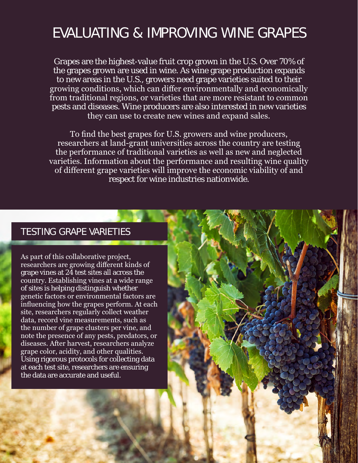## EVALUATING & IMPROVING WINE GRAPES

Grapes are the highest-value fruit crop grown in the U.S. Over 70% of the grapes grown are used in wine. As wine grape production expands to new areas in the U.S., growers need grape varieties suited to their growing conditions, which can differ environmentally and economically from traditional regions, or varieties that are more resistant to common pests and diseases. Wine producers are also interested in new varieties they can use to create new wines and expand sales.

To find the best grapes for U.S. growers and wine producers, researchers at land-grant universities across the country are testing the performance of traditional varieties as well as new and neglected varieties. Information about the performance and resulting wine quality of different grape varieties will improve the economic viability of and respect for wine industries nationwide.

## TESTING GRAPE VARIETIES

As part of this collaborative project, researchers are growing different kinds of grape vines at 24 test sites all across the country. Establishing vines at a wide range of sites is helping distinguish whether genetic factors or environmental factors are influencing how the grapes perform. At each site, researchers regularly collect weather data, record vine measurements, such as the number of grape clusters per vine, and note the presence of any pests, predators, or diseases. After harvest, researchers analyze grape color, acidity, and other qualities. Using rigorous protocols for collecting data at each test site, researchers are ensuring the data are accurate and useful.